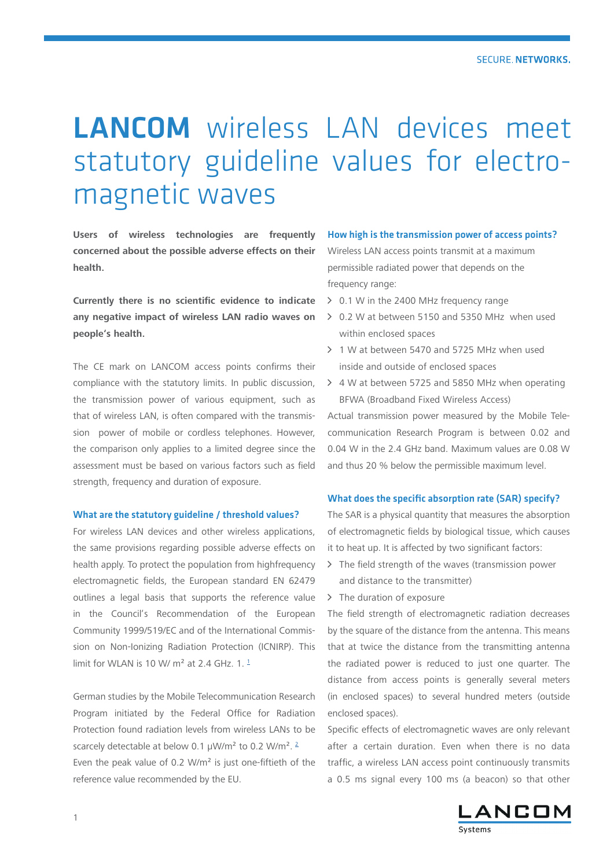# LANCOM wireless LAN devices meet statutory guideline values for electromagnetic waves

**Users of wireless technologies are frequently concerned about the possible adverse effects on their health.**

**Currently there is no scientific evidence to indicate any negative impact of wireless LAN radio waves on people's health.**

The CE mark on LANCOM access points confirms their compliance with the statutory limits. In public discussion, the transmission power of various equipment, such as that of wireless LAN, is often compared with the transmission power of mobile or cordless telephones. However, the comparison only applies to a limited degree since the assessment must be based on various factors such as field strength, frequency and duration of exposure.

#### What are the statutory guideline / threshold values?

For wireless LAN devices and other wireless applications, the same provisions regarding possible adverse effects on health apply. To protect the population from highfrequency electromagnetic fields, the European standard EN 62479 outlines a legal basis that supports the reference value in the Council's Recommendation of the European Community 1999/519/EC and of the International Commission on Non-Ionizing Radiation Protection (ICNIRP). This limit for WI AN is 10 W/m<sup>2</sup> at 2.4 GHz. 1.<sup>1</sup>

German studies by the Mobile Telecommunication Research Program initiated by the Federal Office for Radiation Protection found radiation levels from wireless LANs to be scarcely detectable at below 0.1 μW/m² to 0.2 W/m². 2 Even the peak value of 0.2 W/m² is just one-fiftieth of the reference value recommended by the EU.

### How high is the transmission power of access points?

Wireless LAN access points transmit at a maximum permissible radiated power that depends on the frequency range:

- A 0.1 W in the 2400 MHz frequency range
- A 0.2 W at between 5150 and 5350 MHz when used within enclosed spaces
- A 1 W at between 5470 and 5725 MHz when used inside and outside of enclosed spaces
- $\geq$  4 W at between 5725 and 5850 MHz when operating BFWA (Broadband Fixed Wireless Access)

Actual transmission power measured by the Mobile Telecommunication Research Program is between 0.02 and 0.04 W in the 2.4 GHz band. Maximum values are 0.08 W and thus 20 % below the permissible maximum level.

#### What does the specific absorption rate (SAR) specify?

The SAR is a physical quantity that measures the absorption of electromagnetic fields by biological tissue, which causes it to heat up. It is affected by two significant factors:

- $\sum$  The field strength of the waves (transmission power and distance to the transmitter)
- $\triangleright$  The duration of exposure

The field strength of electromagnetic radiation decreases by the square of the distance from the antenna. This means that at twice the distance from the transmitting antenna the radiated power is reduced to just one quarter. The distance from access points is generally several meters (in enclosed spaces) to several hundred meters (outside enclosed spaces).

Specific effects of electromagnetic waves are only relevant after a certain duration. Even when there is no data traffic, a wireless LAN access point continuously transmits a 0.5 ms signal every 100 ms (a beacon) so that other